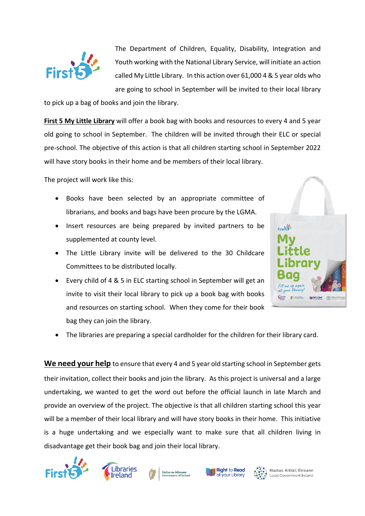

The Department of Children, Equality, Disability, Integration and Youth working with the National Library Service, will initiate an action called My Little Library. In this action over 61,000 4 & 5 year olds who are going to school in September will be invited to their local library

to pick up a bag of books and join the library.

**First 5 My Little Library** will offer a book bag with books and resources to every 4 and 5 year old going to school in September. The children will be invited through their ELC or special pre-school. The objective of this action is that all children starting school in September 2022 will have story books in their home and be members of their local library.

The project will work like this:

- Books have been selected by an appropriate committee of librarians, and books and bags have been procure by the LGMA.
- Insert resources are being prepared by invited partners to be supplemented at county level.
- The Little Library invite will be delivered to the 30 Childcare Committees to be distributed locally.
- Every child of 4 & 5 in ELC starting school in September will get an invite to visit their local library to pick up a book bag with books and resources on starting school. When they come for their book bag they can join the library.



• The libraries are preparing a special cardholder for the children for their library card.

**We need your help** to ensure that every 4 and 5 year old starting school in September gets their invitation, collect their books and join the library. As this project is universal and a large undertaking, we wanted to get the word out before the official launch in late March and provide an overview of the project. The objective is that all children starting school this year will be a member of their local library and will have story books in their home. This initiative is a huge undertaking and we especially want to make sure that all children living in disadvantage get their book bag and join their local library.